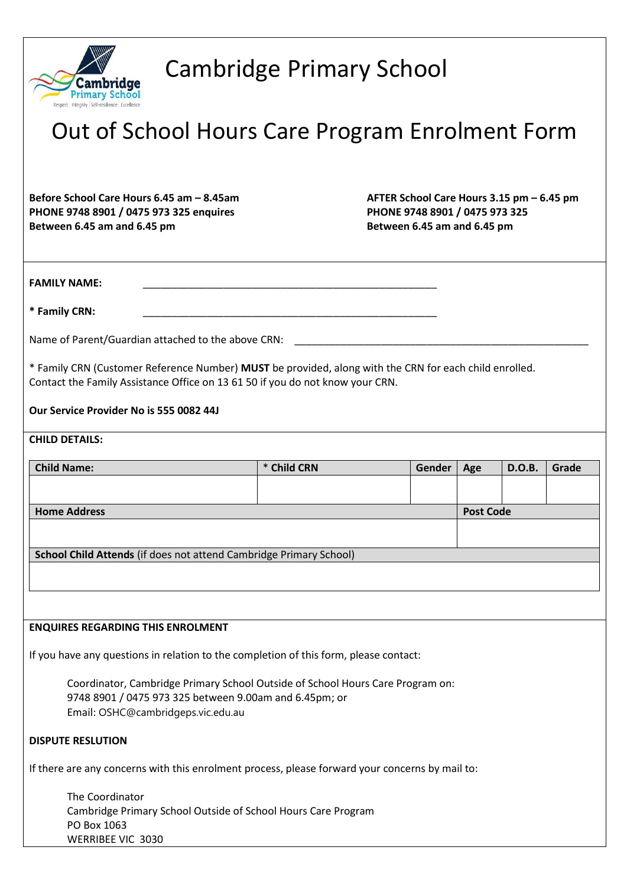

## Cambridge Primary School

# Out of School Hours Care Program Enrolment Form

**PHONE 9748 8901 / 0475 973 325 enquires PHONE 9748 8901 / 0475 973 325 Between 6.45 am and 6.45 pm Between 6.45 am and 6.45 pm**

**Before School Care Hours 6.45 am – 8.45am AFTER School Care Hours 3.15 pm – 6.45 pm**

**FAMILY NAME:** 

**\* Family CRN:** \_\_\_\_\_\_\_\_\_\_\_\_\_\_\_\_\_\_\_\_\_\_\_\_\_\_\_\_\_\_\_\_\_\_\_\_\_\_\_\_\_\_\_\_\_\_\_\_\_\_\_

Name of Parent/Guardian attached to the above CRN:

\* Family CRN (Customer Reference Number) **MUST** be provided, along with the CRN for each child enrolled. Contact the Family Assistance Office on 13 61 50 if you do not know your CRN.

**Our Service Provider No is 555 0082 44J**

## **CHILD DETAILS:**

| <b>Child Name:</b>                                                                              | * Child CRN | Gender | Age              | D.O.B. | Grade |  |  |  |  |
|-------------------------------------------------------------------------------------------------|-------------|--------|------------------|--------|-------|--|--|--|--|
|                                                                                                 |             |        |                  |        |       |  |  |  |  |
| <b>Home Address</b>                                                                             |             |        | <b>Post Code</b> |        |       |  |  |  |  |
|                                                                                                 |             |        |                  |        |       |  |  |  |  |
|                                                                                                 |             |        |                  |        |       |  |  |  |  |
| School Child Attends (if does not attend Cambridge Primary School)                              |             |        |                  |        |       |  |  |  |  |
|                                                                                                 |             |        |                  |        |       |  |  |  |  |
|                                                                                                 |             |        |                  |        |       |  |  |  |  |
|                                                                                                 |             |        |                  |        |       |  |  |  |  |
| <b>ENQUIRES REGARDING THIS ENROLMENT</b>                                                        |             |        |                  |        |       |  |  |  |  |
|                                                                                                 |             |        |                  |        |       |  |  |  |  |
| If you have any questions in relation to the completion of this form, please contact:           |             |        |                  |        |       |  |  |  |  |
| Coordinator, Cambridge Primary School Outside of School Hours Care Program on:                  |             |        |                  |        |       |  |  |  |  |
| 9748 8901 / 0475 973 325 between 9.00am and 6.45pm; or                                          |             |        |                  |        |       |  |  |  |  |
| Email: OSHC@cambridgeps.vic.edu.au                                                              |             |        |                  |        |       |  |  |  |  |
|                                                                                                 |             |        |                  |        |       |  |  |  |  |
| <b>DISPUTE RESLUTION</b>                                                                        |             |        |                  |        |       |  |  |  |  |
| If there are any concerns with this enrolment process, please forward your concerns by mail to: |             |        |                  |        |       |  |  |  |  |
| The Coordinator                                                                                 |             |        |                  |        |       |  |  |  |  |
| Cambridge Primary School Outside of School Hours Care Program                                   |             |        |                  |        |       |  |  |  |  |
| PO Box 1063                                                                                     |             |        |                  |        |       |  |  |  |  |
| <b>WERRIBEE VIC 3030</b>                                                                        |             |        |                  |        |       |  |  |  |  |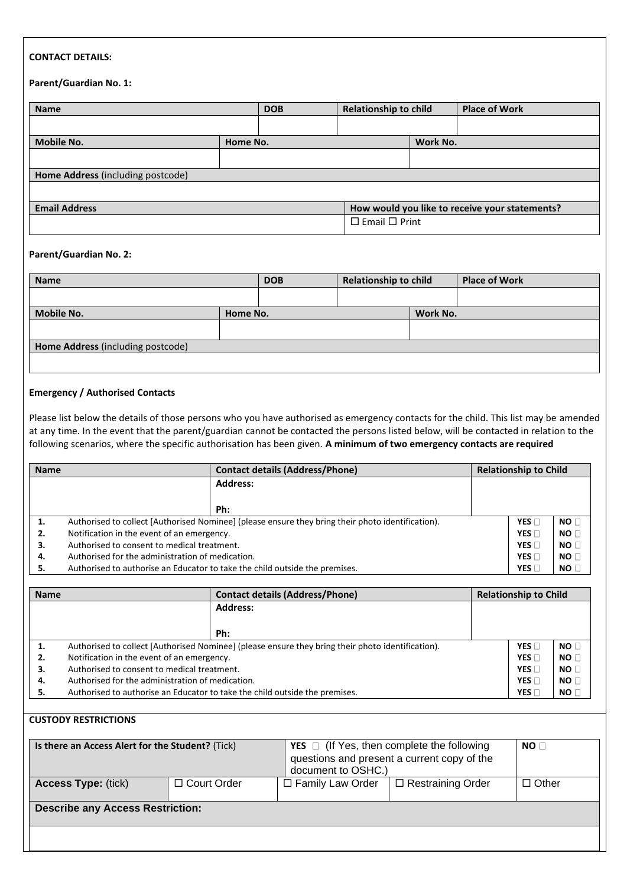## **CONTACT DETAILS:**

#### **Parent/Guardian No. 1:**

| <b>Name</b>                       |          | <b>DOB</b>                | <b>Relationship to child</b>                   |          | <b>Place of Work</b> |
|-----------------------------------|----------|---------------------------|------------------------------------------------|----------|----------------------|
|                                   |          |                           |                                                |          |                      |
| <b>Mobile No.</b>                 | Home No. |                           |                                                | Work No. |                      |
|                                   |          |                           |                                                |          |                      |
| Home Address (including postcode) |          |                           |                                                |          |                      |
|                                   |          |                           |                                                |          |                      |
| <b>Email Address</b>              |          |                           | How would you like to receive your statements? |          |                      |
|                                   |          | $\Box$ Email $\Box$ Print |                                                |          |                      |

#### **Parent/Guardian No. 2:**

| <b>Name</b>                       |          | <b>DOB</b> | <b>Relationship to child</b> |          | <b>Place of Work</b> |
|-----------------------------------|----------|------------|------------------------------|----------|----------------------|
|                                   |          |            |                              |          |                      |
| Mobile No.                        | Home No. |            |                              | Work No. |                      |
|                                   |          |            |                              |          |                      |
| Home Address (including postcode) |          |            |                              |          |                      |
|                                   |          |            |                              |          |                      |

## **Emergency / Authorised Contacts**

Please list below the details of those persons who you have authorised as emergency contacts for the child. This list may be amended at any time. In the event that the parent/guardian cannot be contacted the persons listed below, will be contacted in relation to the following scenarios, where the specific authorisation has been given. **A minimum of two emergency contacts are required**

| <b>Name</b> |                                                                                                   | <b>Contact details (Address/Phone)</b>                                      |  | <b>Relationship to Child</b> |                 |  |
|-------------|---------------------------------------------------------------------------------------------------|-----------------------------------------------------------------------------|--|------------------------------|-----------------|--|
|             |                                                                                                   | <b>Address:</b>                                                             |  |                              |                 |  |
|             |                                                                                                   |                                                                             |  |                              |                 |  |
|             | Ph:                                                                                               |                                                                             |  |                              |                 |  |
| 1.          | Authorised to collect [Authorised Nominee] (please ensure they bring their photo identification). |                                                                             |  |                              | NO <sub>1</sub> |  |
| 2.          | Notification in the event of an emergency.                                                        |                                                                             |  | YES <sub>[</sub>             | NO <sub>1</sub> |  |
| З.          | Authorised to consent to medical treatment.                                                       |                                                                             |  |                              | NO <sub>1</sub> |  |
| 4.          | Authorised for the administration of medication.                                                  |                                                                             |  |                              | NO <sub>1</sub> |  |
| 5.          |                                                                                                   | Authorised to authorise an Educator to take the child outside the premises. |  | YES [                        | NO              |  |

| <b>Name</b> |                                                                                                   | <b>Contact details (Address/Phone)</b>                                      |  | <b>Relationship to Child</b> |                 |  |
|-------------|---------------------------------------------------------------------------------------------------|-----------------------------------------------------------------------------|--|------------------------------|-----------------|--|
|             | <b>Address:</b>                                                                                   |                                                                             |  |                              |                 |  |
|             |                                                                                                   |                                                                             |  |                              |                 |  |
|             | Ph:                                                                                               |                                                                             |  |                              |                 |  |
| 1.          | Authorised to collect [Authorised Nominee] (please ensure they bring their photo identification). |                                                                             |  |                              | NO <sub>1</sub> |  |
| 2.          | Notification in the event of an emergency.                                                        |                                                                             |  |                              | NO <sub>1</sub> |  |
| з.          | Authorised to consent to medical treatment.                                                       |                                                                             |  |                              | NO <sub>1</sub> |  |
| 4.          | Authorised for the administration of medication.                                                  |                                                                             |  |                              | NO <sub>1</sub> |  |
| 5.          |                                                                                                   | Authorised to authorise an Educator to take the child outside the premises. |  | YES <sub>[</sub>             | NO <sub>1</sub> |  |

## **CUSTODY RESTRICTIONS**

| Is there an Access Alert for the Student? (Tick) |                    | <b>YES</b> $\Box$ (If Yes, then complete the following<br>questions and present a current copy of the<br>document to OSHC.) | NO <sub>0</sub> |                 |
|--------------------------------------------------|--------------------|-----------------------------------------------------------------------------------------------------------------------------|-----------------|-----------------|
| <b>Access Type: (tick)</b>                       | $\Box$ Court Order | □ Family Law Order<br>$\Box$ Restraining Order                                                                              |                 | $\square$ Other |
| <b>Describe any Access Restriction:</b>          |                    |                                                                                                                             |                 |                 |
|                                                  |                    |                                                                                                                             |                 |                 |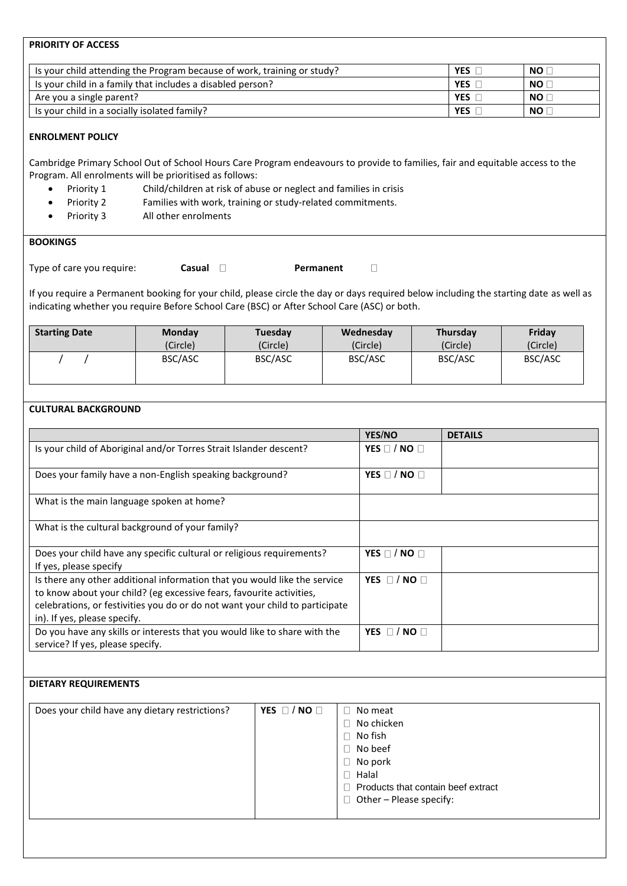## **PRIORITY OF ACCESS**

| Is your child attending the Program because of work, training or study? | <b>YES</b> | NO [      |
|-------------------------------------------------------------------------|------------|-----------|
| Is your child in a family that includes a disabled person?              | <b>YES</b> | NO [      |
| Are you a single parent?                                                | <b>YES</b> | NO I      |
| Is your child in a socially isolated family?                            | <b>YES</b> | <b>NO</b> |

## **ENROLMENT POLICY**

Cambridge Primary School Out of School Hours Care Program endeavours to provide to families, fair and equitable access to the Program. All enrolments will be prioritised as follows:

- Priority 1 Child/children at risk of abuse or neglect and families in crisis
- Priority 2 Families with work, training or study-related commitments.
- Priority 3 All other enrolments

## **BOOKINGS**

Type of care you require: **Casual Permanent** 

 $\Box$ 

If you require a Permanent booking for your child, please circle the day or days required below including the starting date as well as indicating whether you require Before School Care (BSC) or After School Care (ASC) or both.

| <b>Starting Date</b> | Monday   | Tuesday  | Wednesday | Thursday | Friday   |
|----------------------|----------|----------|-----------|----------|----------|
|                      | (Circle) | (Circle) | (Circle)  | (Circle) | (Circle) |
|                      | BSC/ASC  | BSC/ASC  | BSC/ASC   | BSC/ASC  | BSC/ASC  |

#### **CULTURAL BACKGROUND**

|                                                                                                                                                                                                                                                                   | YES/NO                 | <b>DETAILS</b> |
|-------------------------------------------------------------------------------------------------------------------------------------------------------------------------------------------------------------------------------------------------------------------|------------------------|----------------|
| Is your child of Aboriginal and/or Torres Strait Islander descent?                                                                                                                                                                                                | YES $\Box$ / NO $\Box$ |                |
| Does your family have a non-English speaking background?                                                                                                                                                                                                          | YES $\Box$ / NO $\Box$ |                |
| What is the main language spoken at home?                                                                                                                                                                                                                         |                        |                |
| What is the cultural background of your family?                                                                                                                                                                                                                   |                        |                |
| Does your child have any specific cultural or religious requirements?<br>If yes, please specify                                                                                                                                                                   | YES $\Box$ / NO $\Box$ |                |
| Is there any other additional information that you would like the service<br>to know about your child? (eg excessive fears, favourite activities,<br>celebrations, or festivities you do or do not want your child to participate<br>in). If yes, please specify. | YES $\Box$ / NO $\Box$ |                |
| Do you have any skills or interests that you would like to share with the<br>service? If yes, please specify.                                                                                                                                                     | YES $\Box$ / NO $\Box$ |                |

## **DIETARY REQUIREMENTS**

| Does your child have any dietary restrictions? | YES $\Box$ / NO $\Box$ | No meat                            |
|------------------------------------------------|------------------------|------------------------------------|
|                                                |                        | No chicken                         |
|                                                |                        | No fish                            |
|                                                |                        | No beef                            |
|                                                |                        | No pork                            |
|                                                |                        | Halal                              |
|                                                |                        | Products that contain beef extract |
|                                                |                        | Other - Please specify:            |
|                                                |                        |                                    |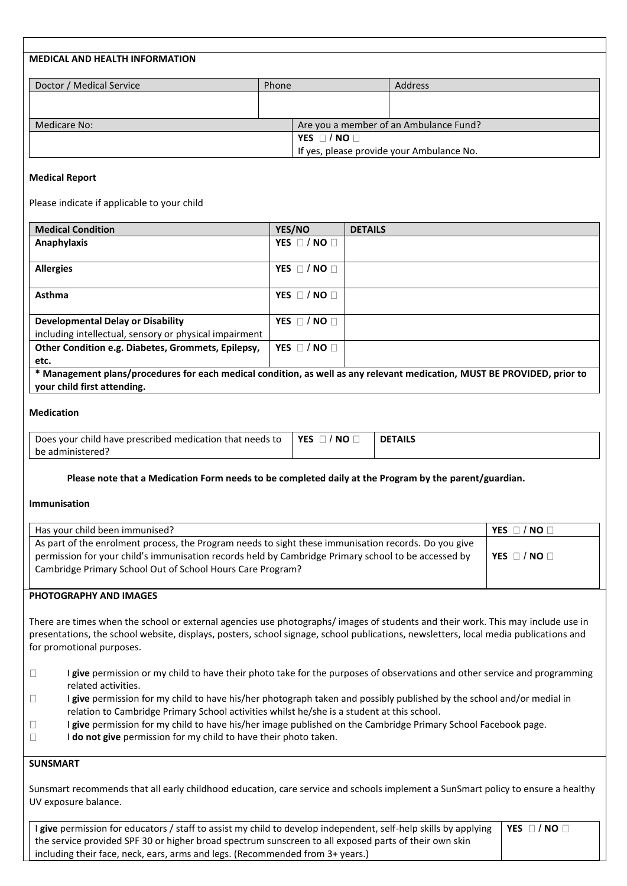| <b>MEDICAL AND HEALTH INFORMATION</b> |       |                                           |                                        |
|---------------------------------------|-------|-------------------------------------------|----------------------------------------|
| Doctor / Medical Service              | Phone |                                           | <b>Address</b>                         |
|                                       |       |                                           |                                        |
|                                       |       |                                           |                                        |
| Medicare No:                          |       |                                           | Are you a member of an Ambulance Fund? |
|                                       |       | YES $\Box$ / NO $\Box$                    |                                        |
|                                       |       | If yes, please provide your Ambulance No. |                                        |

#### **Medical Report**

Please indicate if applicable to your child

| <b>Medical Condition</b>                               | YES/NO                 | <b>DETAILS</b>                                                                                                           |
|--------------------------------------------------------|------------------------|--------------------------------------------------------------------------------------------------------------------------|
| Anaphylaxis                                            | YES $\Box$ / NO $\Box$ |                                                                                                                          |
|                                                        |                        |                                                                                                                          |
| <b>Allergies</b>                                       | YES $\Box$ / NO $\Box$ |                                                                                                                          |
|                                                        |                        |                                                                                                                          |
| Asthma                                                 | YES $\Box$ / NO $\Box$ |                                                                                                                          |
|                                                        |                        |                                                                                                                          |
| <b>Developmental Delay or Disability</b>               | YES $\Box$ / NO $\Box$ |                                                                                                                          |
| including intellectual, sensory or physical impairment |                        |                                                                                                                          |
| Other Condition e.g. Diabetes, Grommets, Epilepsy,     | YES $\Box$ / NO $\Box$ |                                                                                                                          |
| etc.                                                   |                        |                                                                                                                          |
|                                                        |                        | * Management plans/procedures for each medical condition, as well as any relevant medication, MUST BE PROVIDED, prior to |
| your child first attending.                            |                        |                                                                                                                          |

#### **Medication**

| Does your<br>child have prescribed medication :<br>rthat needs to | <b>YES</b><br><b>NO</b> | <b>TAILS</b><br>DF |
|-------------------------------------------------------------------|-------------------------|--------------------|
| be administered :                                                 |                         |                    |

#### **Please note that a Medication Form needs to be completed daily at the Program by the parent/guardian.**

#### **Immunisation**

| Has your child been immunised?                                                                                                                                                                                                                                            | $\sqrt{}$ NO $\Box$<br><b>YES</b> |
|---------------------------------------------------------------------------------------------------------------------------------------------------------------------------------------------------------------------------------------------------------------------------|-----------------------------------|
| As part of the enrolment process, the Program needs to sight these immunisation records. Do you give<br>permission for your child's immunisation records held by Cambridge Primary school to be accessed by<br>Cambridge Primary School Out of School Hours Care Program? | YES $\Box$ / NO $\Box$            |

#### **PHOTOGRAPHY AND IMAGES**

There are times when the school or external agencies use photographs/ images of students and their work. This may include use in presentations, the school website, displays, posters, school signage, school publications, newsletters, local media publications and for promotional purposes.

- $\Box$ I **give** permission or my child to have their photo take for the purposes of observations and other service and programming related activities.
- $\Box$ I **give** permission for my child to have his/her photograph taken and possibly published by the school and/or medial in relation to Cambridge Primary School activities whilst he/she is a student at this school.
- $\Box$ I **give** permission for my child to have his/her image published on the Cambridge Primary School Facebook page.
- $\Box$ I **do not give** permission for my child to have their photo taken.

## **SUNSMART**

Sunsmart recommends that all early childhood education, care service and schools implement a SunSmart policy to ensure a healthy UV exposure balance.

| I give permission for educators / staff to assist my child to develop independent, self-help skills by applying   YES $\Box$ / NO $\Box$ |  |
|------------------------------------------------------------------------------------------------------------------------------------------|--|
| the service provided SPF 30 or higher broad spectrum sunscreen to all exposed parts of their own skin                                    |  |
| including their face, neck, ears, arms and legs. (Recommended from 3+ years.)                                                            |  |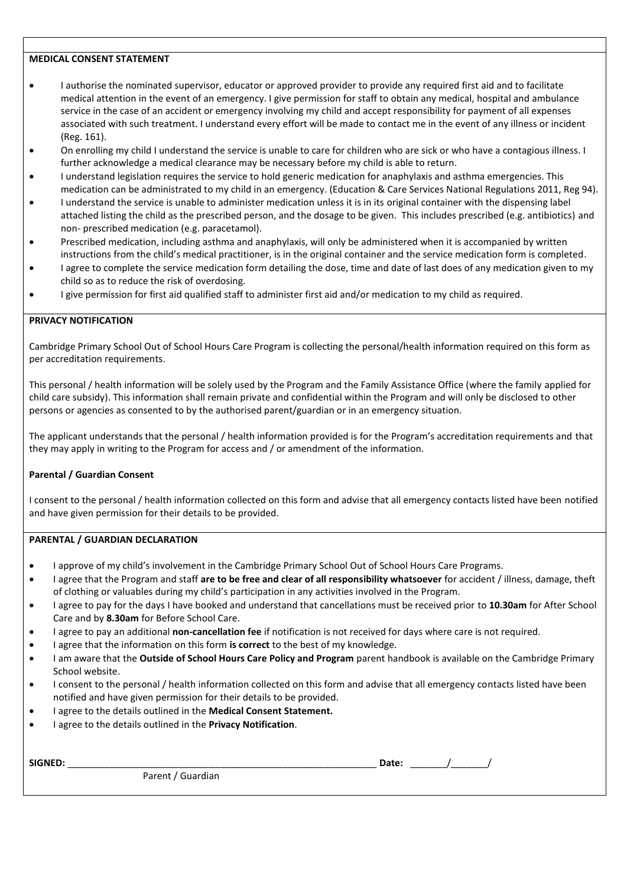#### **MEDICAL CONSENT STATEMENT**

- I authorise the nominated supervisor, educator or approved provider to provide any required first aid and to facilitate medical attention in the event of an emergency. I give permission for staff to obtain any medical, hospital and ambulance service in the case of an accident or emergency involving my child and accept responsibility for payment of all expenses associated with such treatment. I understand every effort will be made to contact me in the event of any illness or incident (Reg. 161).
- On enrolling my child I understand the service is unable to care for children who are sick or who have a contagious illness. I further acknowledge a medical clearance may be necessary before my child is able to return.
- I understand legislation requires the service to hold generic medication for anaphylaxis and asthma emergencies. This medication can be administrated to my child in an emergency. (Education & Care Services National Regulations 2011, Reg 94).
- I understand the service is unable to administer medication unless it is in its original container with the dispensing label attached listing the child as the prescribed person, and the dosage to be given. This includes prescribed (e.g. antibiotics) and non- prescribed medication (e.g. paracetamol).
- Prescribed medication, including asthma and anaphylaxis, will only be administered when it is accompanied by written instructions from the child's medical practitioner, is in the original container and the service medication form is completed.
- I agree to complete the service medication form detailing the dose, time and date of last does of any medication given to my child so as to reduce the risk of overdosing.
- I give permission for first aid qualified staff to administer first aid and/or medication to my child as required.

#### **PRIVACY NOTIFICATION**

Cambridge Primary School Out of School Hours Care Program is collecting the personal/health information required on this form as per accreditation requirements.

This personal / health information will be solely used by the Program and the Family Assistance Office (where the family applied for child care subsidy). This information shall remain private and confidential within the Program and will only be disclosed to other persons or agencies as consented to by the authorised parent/guardian or in an emergency situation.

The applicant understands that the personal / health information provided is for the Program's accreditation requirements and that they may apply in writing to the Program for access and / or amendment of the information.

#### **Parental / Guardian Consent**

I consent to the personal / health information collected on this form and advise that all emergency contacts listed have been notified and have given permission for their details to be provided.

## **PARENTAL / GUARDIAN DECLARATION**

- I approve of my child's involvement in the Cambridge Primary School Out of School Hours Care Programs.
- I agree that the Program and staff **are to be free and clear of all responsibility whatsoever** for accident / illness, damage, theft of clothing or valuables during my child's participation in any activities involved in the Program.
- I agree to pay for the days I have booked and understand that cancellations must be received prior to **10.30am** for After School Care and by **8.30am** for Before School Care.
- I agree to pay an additional **non-cancellation fee** if notification is not received for days where care is not required.
- I agree that the information on this form **is correct** to the best of my knowledge.
- I am aware that the **Outside of School Hours Care Policy and Program** parent handbook is available on the Cambridge Primary School website.
- I consent to the personal / health information collected on this form and advise that all emergency contacts listed have been notified and have given permission for their details to be provided.
- I agree to the details outlined in the **Medical Consent Statement.**
- I agree to the details outlined in the **Privacy Notification**.

| SIGNED:<br>$\overline{\phantom{a}}$ |                   | Date: |  |
|-------------------------------------|-------------------|-------|--|
|                                     | Parent / Guardian |       |  |
|                                     |                   |       |  |